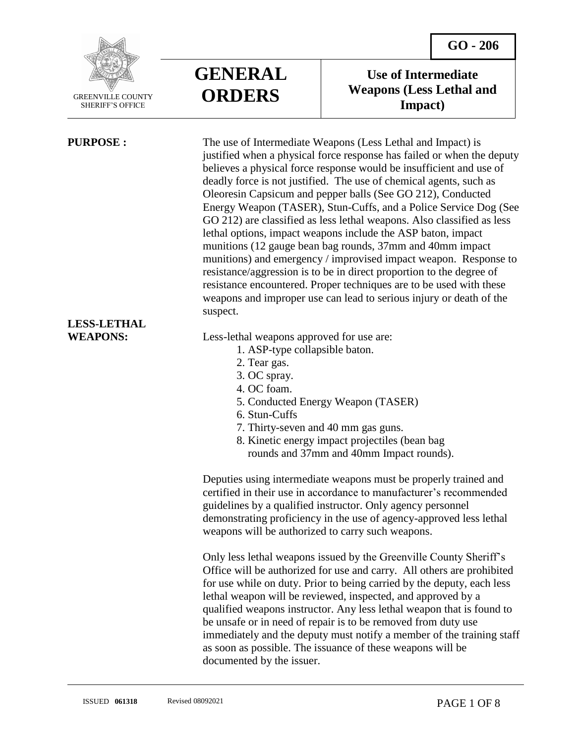

SHERIFF'S OFFICE

 $\overline{a}$ 

# **LESS-LETHAL**



## **Use of Intermediate Weapons (Less Lethal and Impact)**

**PURPOSE :** The use of Intermediate Weapons (Less Lethal and Impact) is justified when a physical force response has failed or when the deputy believes a physical force response would be insufficient and use of deadly force is not justified. The use of chemical agents, such as Oleoresin Capsicum and pepper balls (See GO 212), Conducted Energy Weapon (TASER), Stun-Cuffs, and a Police Service Dog (See GO 212) are classified as less lethal weapons. Also classified as less lethal options, impact weapons include the ASP baton, impact munitions (12 gauge bean bag rounds, 37mm and 40mm impact munitions) and emergency / improvised impact weapon. Response to resistance/aggression is to be in direct proportion to the degree of resistance encountered. Proper techniques are to be used with these weapons and improper use can lead to serious injury or death of the suspect.

**WEAPONS:** Less-lethal weapons approved for use are:

- 1. ASP-type collapsible baton.
- 2. Tear gas.
- 3. OC spray.
- 4. OC foam.
- 5. Conducted Energy Weapon (TASER)
- 6. Stun-Cuffs
- 7. Thirty-seven and 40 mm gas guns.
- 8. Kinetic energy impact projectiles (bean bag rounds and 37mm and 40mm Impact rounds).

Deputies using intermediate weapons must be properly trained and certified in their use in accordance to manufacturer's recommended guidelines by a qualified instructor. Only agency personnel demonstrating proficiency in the use of agency-approved less lethal weapons will be authorized to carry such weapons.

Only less lethal weapons issued by the Greenville County Sheriff's Office will be authorized for use and carry. All others are prohibited for use while on duty. Prior to being carried by the deputy, each less lethal weapon will be reviewed, inspected, and approved by a qualified weapons instructor. Any less lethal weapon that is found to be unsafe or in need of repair is to be removed from duty use immediately and the deputy must notify a member of the training staff as soon as possible. The issuance of these weapons will be documented by the issuer.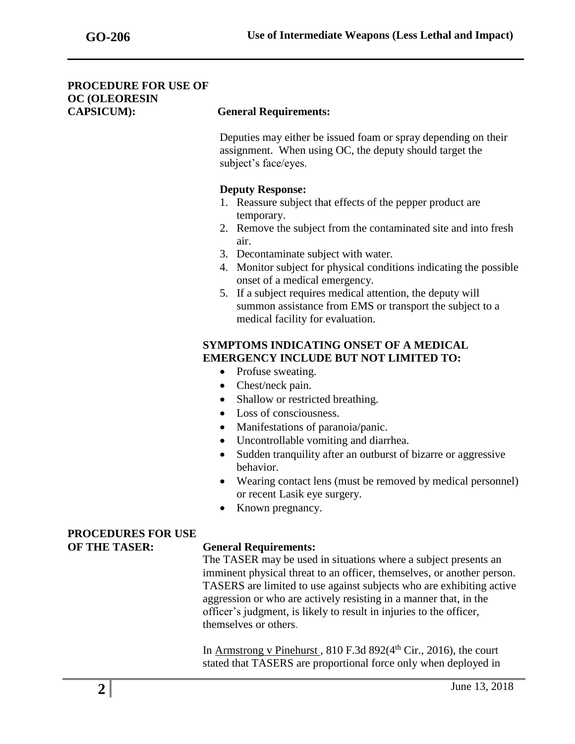### **PROCEDURE FOR USE OF OC (OLEORESIN CAPSICUM): General Requirements:**

Deputies may either be issued foam or spray depending on their assignment. When using OC, the deputy should target the subject's face/eyes.

### **Deputy Response:**

- 1. Reassure subject that effects of the pepper product are temporary.
- 2. Remove the subject from the contaminated site and into fresh air.
- 3. Decontaminate subject with water.
- 4. Monitor subject for physical conditions indicating the possible onset of a medical emergency.
- 5. If a subject requires medical attention, the deputy will summon assistance from EMS or transport the subject to a medical facility for evaluation.

### **SYMPTOMS INDICATING ONSET OF A MEDICAL EMERGENCY INCLUDE BUT NOT LIMITED TO:**

- Profuse sweating.
- Chest/neck pain.
- Shallow or restricted breathing.
- Loss of consciousness.
- Manifestations of paranoia/panic.
- Uncontrollable vomiting and diarrhea.
- Sudden tranquility after an outburst of bizarre or aggressive behavior.
- Wearing contact lens (must be removed by medical personnel) or recent Lasik eye surgery.
- Known pregnancy.

### **PROCEDURES FOR USE OF THE TASER: General Requirements:**

The TASER may be used in situations where a subject presents an imminent physical threat to an officer, themselves, or another person. TASERS are limited to use against subjects who are exhibiting active aggression or who are actively resisting in a manner that, in the officer's judgment, is likely to result in injuries to the officer, themselves or others.

In Armstrong v Pinehurst,  $810$  F.3d  $892(4<sup>th</sup> Cir., 2016)$ , the court stated that TASERS are proportional force only when deployed in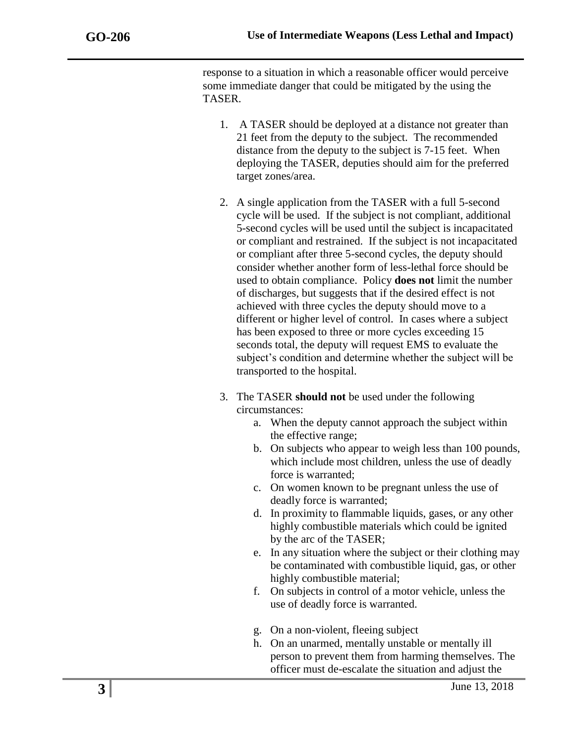response to a situation in which a reasonable officer would perceive some immediate danger that could be mitigated by the using the TASER.

- 1. A TASER should be deployed at a distance not greater than 21 feet from the deputy to the subject. The recommended distance from the deputy to the subject is 7-15 feet. When deploying the TASER, deputies should aim for the preferred target zones/area.
- 2. A single application from the TASER with a full 5-second cycle will be used. If the subject is not compliant, additional 5-second cycles will be used until the subject is incapacitated or compliant and restrained. If the subject is not incapacitated or compliant after three 5-second cycles, the deputy should consider whether another form of less-lethal force should be used to obtain compliance. Policy **does not** limit the number of discharges, but suggests that if the desired effect is not achieved with three cycles the deputy should move to a different or higher level of control. In cases where a subject has been exposed to three or more cycles exceeding 15 seconds total, the deputy will request EMS to evaluate the subject's condition and determine whether the subject will be transported to the hospital.
- 3. The TASER **should not** be used under the following circumstances:
	- a. When the deputy cannot approach the subject within the effective range;
	- b. On subjects who appear to weigh less than 100 pounds, which include most children, unless the use of deadly force is warranted;
	- c. On women known to be pregnant unless the use of deadly force is warranted;
	- d. In proximity to flammable liquids, gases, or any other highly combustible materials which could be ignited by the arc of the TASER;
	- e. In any situation where the subject or their clothing may be contaminated with combustible liquid, gas, or other highly combustible material;
	- f. On subjects in control of a motor vehicle, unless the use of deadly force is warranted.
	- g. On a non-violent, fleeing subject
	- h. On an unarmed, mentally unstable or mentally ill person to prevent them from harming themselves. The officer must de-escalate the situation and adjust the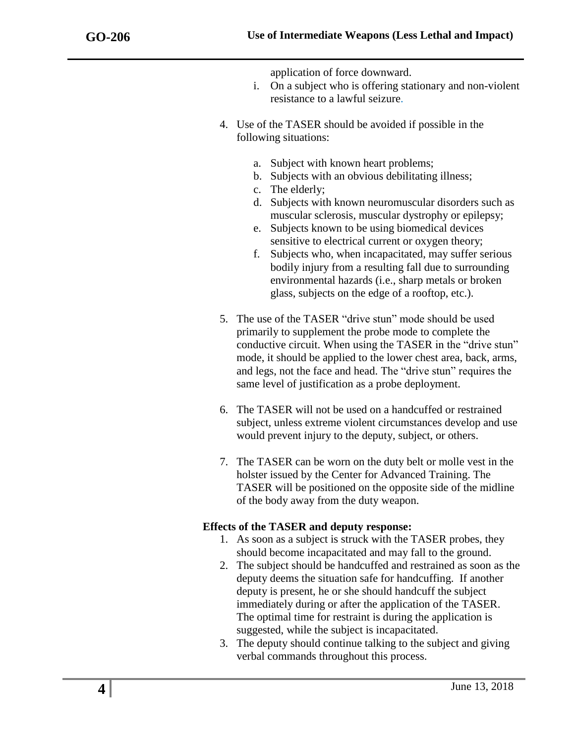application of force downward.

- i. On a subject who is offering stationary and non-violent resistance to a lawful seizure.
- 4. Use of the TASER should be avoided if possible in the following situations:
	- a. Subject with known heart problems;
	- b. Subjects with an obvious debilitating illness;
	- c. The elderly;
	- d. Subjects with known neuromuscular disorders such as muscular sclerosis, muscular dystrophy or epilepsy;
	- e. Subjects known to be using biomedical devices sensitive to electrical current or oxygen theory;
	- f. Subjects who, when incapacitated, may suffer serious bodily injury from a resulting fall due to surrounding environmental hazards (i.e., sharp metals or broken glass, subjects on the edge of a rooftop, etc.).
- 5. The use of the TASER "drive stun" mode should be used primarily to supplement the probe mode to complete the conductive circuit. When using the TASER in the "drive stun" mode, it should be applied to the lower chest area, back, arms, and legs, not the face and head. The "drive stun" requires the same level of justification as a probe deployment.
- 6. The TASER will not be used on a handcuffed or restrained subject, unless extreme violent circumstances develop and use would prevent injury to the deputy, subject, or others.
- 7. The TASER can be worn on the duty belt or molle vest in the holster issued by the Center for Advanced Training. The TASER will be positioned on the opposite side of the midline of the body away from the duty weapon.

### **Effects of the TASER and deputy response:**

- 1. As soon as a subject is struck with the TASER probes, they should become incapacitated and may fall to the ground.
- 2. The subject should be handcuffed and restrained as soon as the deputy deems the situation safe for handcuffing. If another deputy is present, he or she should handcuff the subject immediately during or after the application of the TASER. The optimal time for restraint is during the application is suggested, while the subject is incapacitated.
- 3. The deputy should continue talking to the subject and giving verbal commands throughout this process.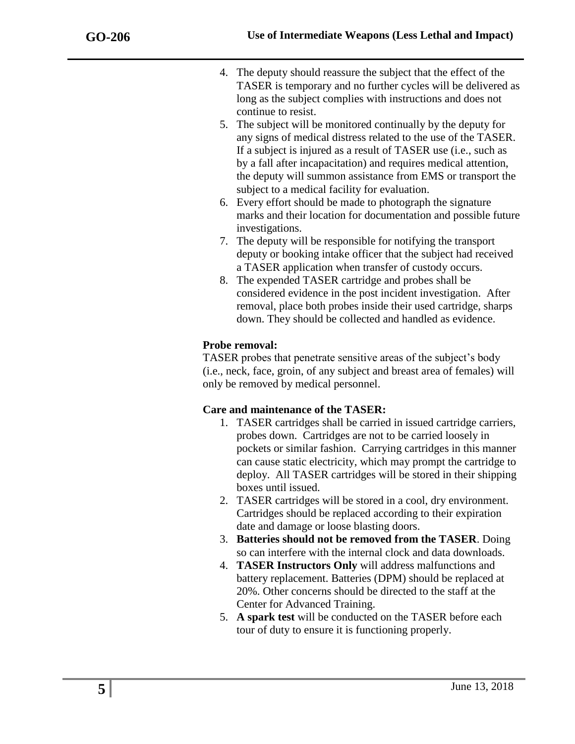- 4. The deputy should reassure the subject that the effect of the TASER is temporary and no further cycles will be delivered as long as the subject complies with instructions and does not continue to resist.
- 5. The subject will be monitored continually by the deputy for any signs of medical distress related to the use of the TASER. If a subject is injured as a result of TASER use (i.e., such as by a fall after incapacitation) and requires medical attention, the deputy will summon assistance from EMS or transport the subject to a medical facility for evaluation.
- 6. Every effort should be made to photograph the signature marks and their location for documentation and possible future investigations.
- 7. The deputy will be responsible for notifying the transport deputy or booking intake officer that the subject had received a TASER application when transfer of custody occurs.
- 8. The expended TASER cartridge and probes shall be considered evidence in the post incident investigation. After removal, place both probes inside their used cartridge, sharps down. They should be collected and handled as evidence.

## **Probe removal:**

TASER probes that penetrate sensitive areas of the subject's body (i.e., neck, face, groin, of any subject and breast area of females) will only be removed by medical personnel.

## **Care and maintenance of the TASER:**

- 1. TASER cartridges shall be carried in issued cartridge carriers, probes down. Cartridges are not to be carried loosely in pockets or similar fashion. Carrying cartridges in this manner can cause static electricity, which may prompt the cartridge to deploy. All TASER cartridges will be stored in their shipping boxes until issued.
- 2. TASER cartridges will be stored in a cool, dry environment. Cartridges should be replaced according to their expiration date and damage or loose blasting doors.
- 3. **Batteries should not be removed from the TASER**. Doing so can interfere with the internal clock and data downloads.
- 4. **TASER Instructors Only** will address malfunctions and battery replacement. Batteries (DPM) should be replaced at 20%. Other concerns should be directed to the staff at the Center for Advanced Training.
- 5. **A spark test** will be conducted on the TASER before each tour of duty to ensure it is functioning properly.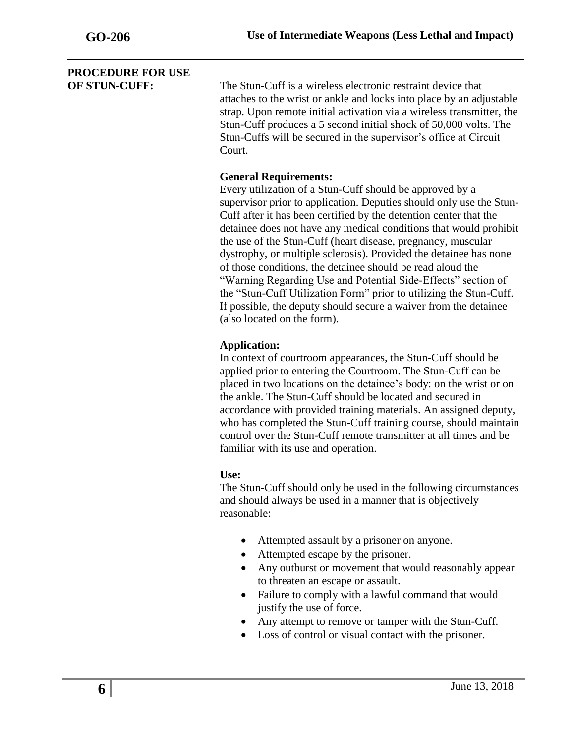## **PROCEDURE FOR USE**

**OF STUN-CUFF:** The Stun-Cuff is a wireless electronic restraint device that attaches to the wrist or ankle and locks into place by an adjustable strap. Upon remote initial activation via a wireless transmitter, the Stun-Cuff produces a 5 second initial shock of 50,000 volts. The Stun-Cuffs will be secured in the supervisor's office at Circuit Court.

## **General Requirements:**

Every utilization of a Stun-Cuff should be approved by a supervisor prior to application. Deputies should only use the Stun-Cuff after it has been certified by the detention center that the detainee does not have any medical conditions that would prohibit the use of the Stun-Cuff (heart disease, pregnancy, muscular dystrophy, or multiple sclerosis). Provided the detainee has none of those conditions, the detainee should be read aloud the "Warning Regarding Use and Potential Side-Effects" section of the "Stun-Cuff Utilization Form" prior to utilizing the Stun-Cuff. If possible, the deputy should secure a waiver from the detainee (also located on the form).

### **Application:**

In context of courtroom appearances, the Stun-Cuff should be applied prior to entering the Courtroom. The Stun-Cuff can be placed in two locations on the detainee's body: on the wrist or on the ankle. The Stun-Cuff should be located and secured in accordance with provided training materials. An assigned deputy, who has completed the Stun-Cuff training course, should maintain control over the Stun-Cuff remote transmitter at all times and be familiar with its use and operation.

### **Use:**

The Stun-Cuff should only be used in the following circumstances and should always be used in a manner that is objectively reasonable:

- Attempted assault by a prisoner on anyone.
- Attempted escape by the prisoner.
- Any outburst or movement that would reasonably appear to threaten an escape or assault.
- Failure to comply with a lawful command that would justify the use of force.
- Any attempt to remove or tamper with the Stun-Cuff.
- Loss of control or visual contact with the prisoner.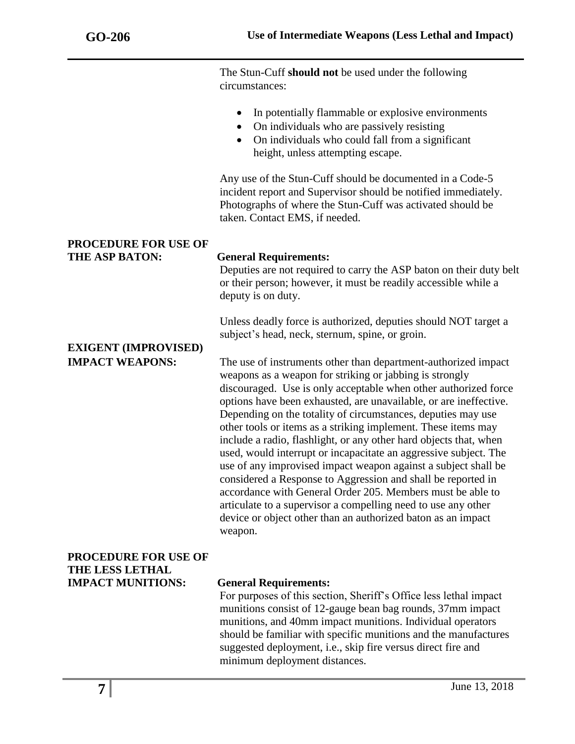The Stun-Cuff **should not** be used under the following circumstances:

- In potentially flammable or explosive environments
- On individuals who are passively resisting
- On individuals who could fall from a significant height, unless attempting escape.

Any use of the Stun-Cuff should be documented in a Code-5 incident report and Supervisor should be notified immediately. Photographs of where the Stun-Cuff was activated should be taken. Contact EMS, if needed.

### **PROCEDURE FOR USE OF THE ASP BATON: General Requirements:**

Deputies are not required to carry the ASP baton on their duty belt or their person; however, it must be readily accessible while a deputy is on duty.

Unless deadly force is authorized, deputies should NOT target a subject's head, neck, sternum, spine, or groin.

# **EXIGENT (IMPROVISED)**

**IMPACT WEAPONS:** The use of instruments other than department-authorized impact weapons as a weapon for striking or jabbing is strongly discouraged. Use is only acceptable when other authorized force options have been exhausted, are unavailable, or are ineffective. Depending on the totality of circumstances, deputies may use other tools or items as a striking implement. These items may include a radio, flashlight, or any other hard objects that, when used, would interrupt or incapacitate an aggressive subject. The use of any improvised impact weapon against a subject shall be considered a Response to Aggression and shall be reported in accordance with General Order 205. Members must be able to articulate to a supervisor a compelling need to use any other device or object other than an authorized baton as an impact weapon.

### **PROCEDURE FOR USE OF THE LESS LETHAL IMPACT MUNITIONS: General Requirements:**

For purposes of this section, Sheriff's Office less lethal impact munitions consist of 12-gauge bean bag rounds, 37mm impact munitions, and 40mm impact munitions. Individual operators should be familiar with specific munitions and the manufactures suggested deployment, i.e., skip fire versus direct fire and minimum deployment distances.